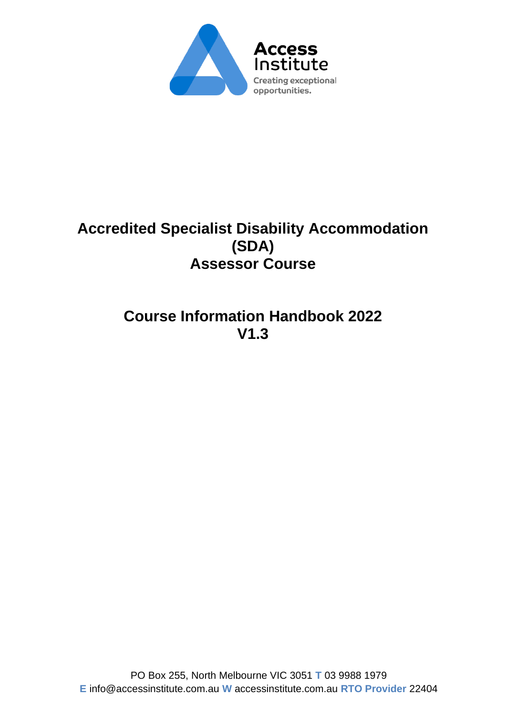

# **Accredited Specialist Disability Accommodation (SDA) Assessor Course**

# **Course Information Handbook 2022 V1.3**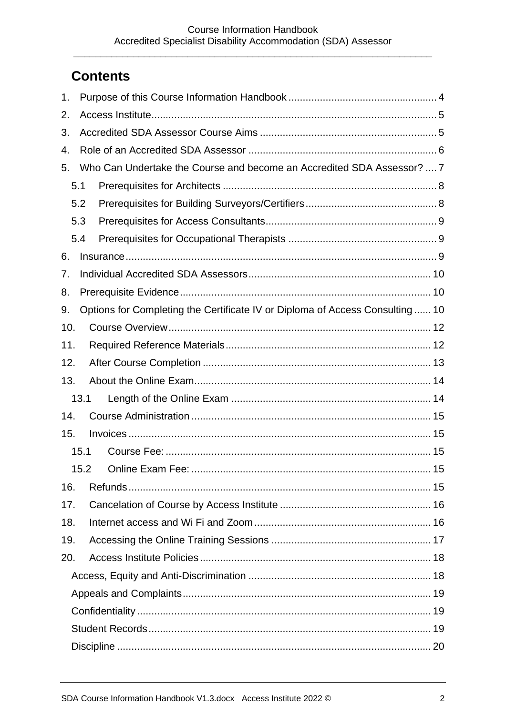# **Contents**

| 1.  |      |                                                                              |  |
|-----|------|------------------------------------------------------------------------------|--|
| 2.  |      |                                                                              |  |
| 3.  |      |                                                                              |  |
| 4.  |      |                                                                              |  |
| 5.  |      | Who Can Undertake the Course and become an Accredited SDA Assessor?  7       |  |
|     | 5.1  |                                                                              |  |
|     | 5.2  |                                                                              |  |
|     | 5.3  |                                                                              |  |
|     | 5.4  |                                                                              |  |
| 6.  |      |                                                                              |  |
| 7.  |      |                                                                              |  |
| 8.  |      |                                                                              |  |
| 9.  |      | Options for Completing the Certificate IV or Diploma of Access Consulting 10 |  |
| 10. |      |                                                                              |  |
| 11. |      |                                                                              |  |
| 12. |      |                                                                              |  |
| 13. |      |                                                                              |  |
|     | 13.1 |                                                                              |  |
| 14. |      |                                                                              |  |
| 15. |      |                                                                              |  |
|     | 15.1 |                                                                              |  |
|     |      |                                                                              |  |
| 16. |      |                                                                              |  |
| 17. |      |                                                                              |  |
| 18. |      |                                                                              |  |
| 19. |      |                                                                              |  |
| 20. |      |                                                                              |  |
|     |      |                                                                              |  |
|     |      |                                                                              |  |
|     |      |                                                                              |  |
|     |      |                                                                              |  |
|     |      |                                                                              |  |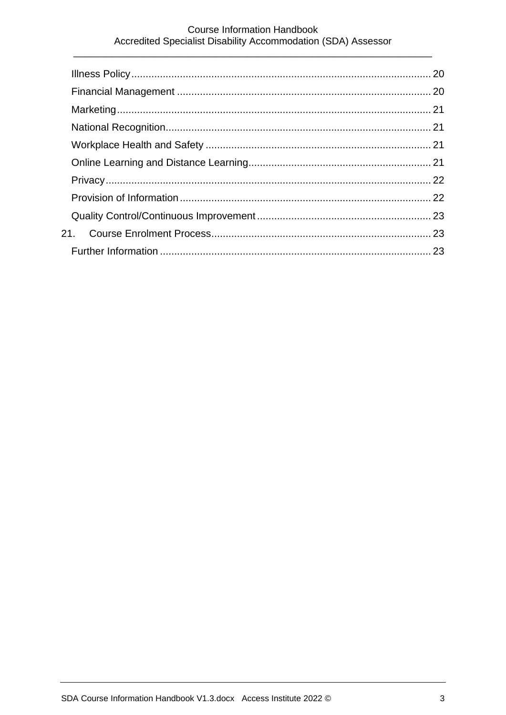#### **Course Information Handbook** Accredited Specialist Disability Accommodation (SDA) Assessor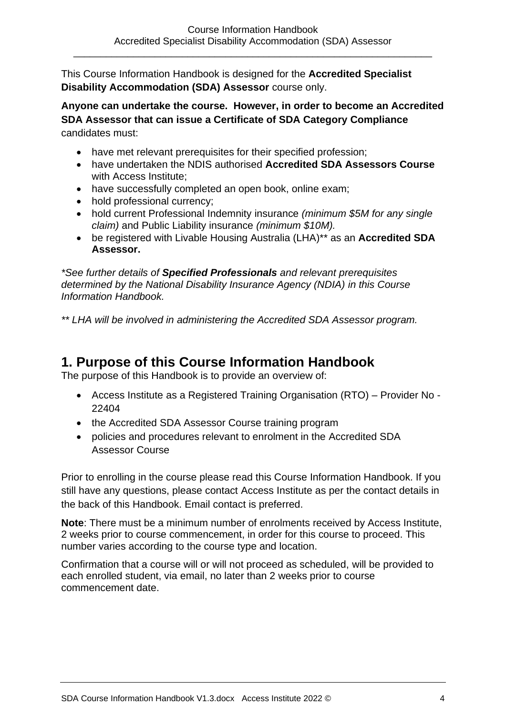This Course Information Handbook is designed for the **Accredited Specialist Disability Accommodation (SDA) Assessor** course only.

**Anyone can undertake the course. However, in order to become an Accredited SDA Assessor that can issue a Certificate of SDA Category Compliance**  candidates must:

- have met relevant prerequisites for their specified profession;
- have undertaken the NDIS authorised **Accredited SDA Assessors Course** with Access Institute;
- have successfully completed an open book, online exam;
- hold professional currency;
- hold current Professional Indemnity insurance *(minimum \$5M for any single claim)* and Public Liability insurance *(minimum \$10M).*
- be registered with Livable Housing Australia (LHA)\*\* as an **Accredited SDA Assessor.**

*\*See further details of Specified Professionals and relevant prerequisites determined by the National Disability Insurance Agency (NDIA) in this Course Information Handbook.*

*\*\* LHA will be involved in administering the Accredited SDA Assessor program.*

## <span id="page-3-0"></span>**1. Purpose of this Course Information Handbook**

The purpose of this Handbook is to provide an overview of:

- Access Institute as a Registered Training Organisation (RTO) Provider No 22404
- the Accredited SDA Assessor Course training program
- policies and procedures relevant to enrolment in the Accredited SDA Assessor Course

Prior to enrolling in the course please read this Course Information Handbook. If you still have any questions, please contact Access Institute as per the contact details in the back of this Handbook. Email contact is preferred.

**Note**: There must be a minimum number of enrolments received by Access Institute, 2 weeks prior to course commencement, in order for this course to proceed. This number varies according to the course type and location.

Confirmation that a course will or will not proceed as scheduled, will be provided to each enrolled student, via email, no later than 2 weeks prior to course commencement date.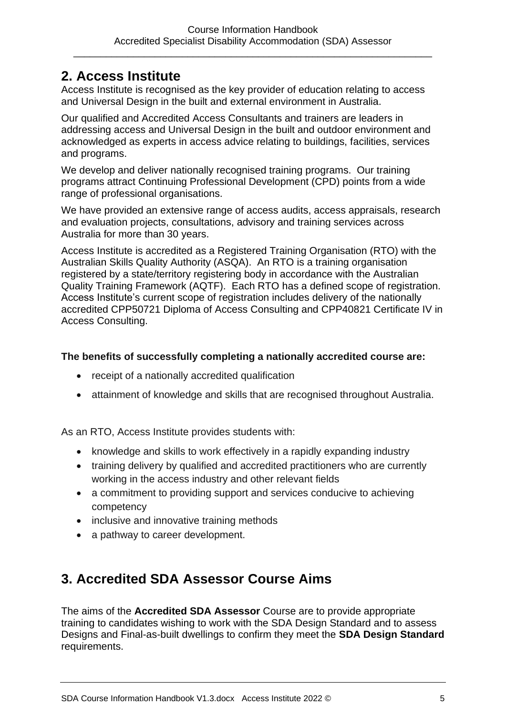## <span id="page-4-0"></span>**2. Access Institute**

Access Institute is recognised as the key provider of education relating to access and Universal Design in the built and external environment in Australia.

Our qualified and Accredited Access Consultants and trainers are leaders in addressing access and Universal Design in the built and outdoor environment and acknowledged as experts in access advice relating to buildings, facilities, services and programs.

We develop and deliver nationally recognised training programs. Our training programs attract Continuing Professional Development (CPD) points from a wide range of professional organisations.

We have provided an extensive range of access audits, access appraisals, research and evaluation projects, consultations, advisory and training services across Australia for more than 30 years.

Access Institute is accredited as a Registered Training Organisation (RTO) with the Australian Skills Quality Authority (ASQA). An RTO is a training organisation registered by a state/territory registering body in accordance with the Australian Quality Training Framework (AQTF). Each RTO has a defined scope of registration. Access Institute's current scope of registration includes delivery of the nationally accredited CPP50721 Diploma of Access Consulting and CPP40821 Certificate IV in Access Consulting.

#### **The benefits of successfully completing a nationally accredited course are:**

- receipt of a nationally accredited qualification
- attainment of knowledge and skills that are recognised throughout Australia.

As an RTO, Access Institute provides students with:

- knowledge and skills to work effectively in a rapidly expanding industry
- training delivery by qualified and accredited practitioners who are currently working in the access industry and other relevant fields
- a commitment to providing support and services conducive to achieving competency
- inclusive and innovative training methods
- a pathway to career development.

# <span id="page-4-1"></span>**3. Accredited SDA Assessor Course Aims**

The aims of the **Accredited SDA Assessor** Course are to provide appropriate training to candidates wishing to work with the SDA Design Standard and to assess Designs and Final-as-built dwellings to confirm they meet the **SDA Design Standard** requirements.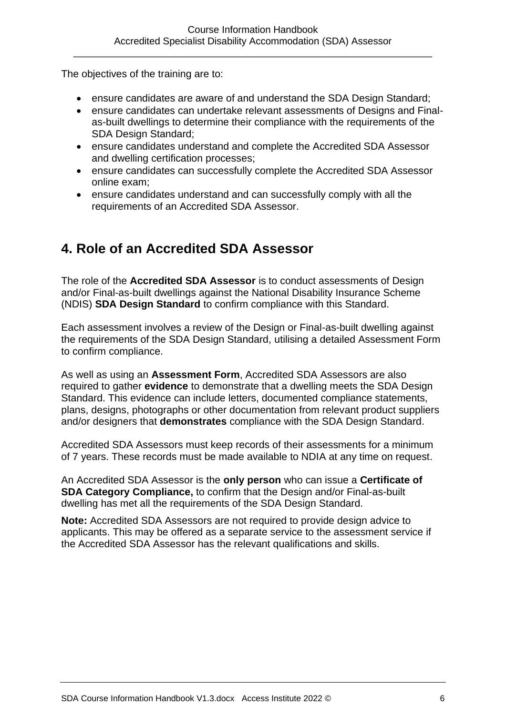The objectives of the training are to:

- ensure candidates are aware of and understand the SDA Design Standard;
- ensure candidates can undertake relevant assessments of Designs and Finalas-built dwellings to determine their compliance with the requirements of the SDA Design Standard;
- ensure candidates understand and complete the Accredited SDA Assessor and dwelling certification processes;
- ensure candidates can successfully complete the Accredited SDA Assessor online exam;
- ensure candidates understand and can successfully comply with all the requirements of an Accredited SDA Assessor.

## <span id="page-5-0"></span>**4. Role of an Accredited SDA Assessor**

The role of the **Accredited SDA Assessor** is to conduct assessments of Design and/or Final-as-built dwellings against the National Disability Insurance Scheme (NDIS) **SDA Design Standard** to confirm compliance with this Standard.

Each assessment involves a review of the Design or Final-as-built dwelling against the requirements of the SDA Design Standard, utilising a detailed Assessment Form to confirm compliance.

As well as using an **Assessment Form**, Accredited SDA Assessors are also required to gather **evidence** to demonstrate that a dwelling meets the SDA Design Standard. This evidence can include letters, documented compliance statements, plans, designs, photographs or other documentation from relevant product suppliers and/or designers that **demonstrates** compliance with the SDA Design Standard.

Accredited SDA Assessors must keep records of their assessments for a minimum of 7 years. These records must be made available to NDIA at any time on request.

An Accredited SDA Assessor is the **only person** who can issue a **Certificate of SDA Category Compliance,** to confirm that the Design and/or Final-as-built dwelling has met all the requirements of the SDA Design Standard.

**Note:** Accredited SDA Assessors are not required to provide design advice to applicants. This may be offered as a separate service to the assessment service if the Accredited SDA Assessor has the relevant qualifications and skills.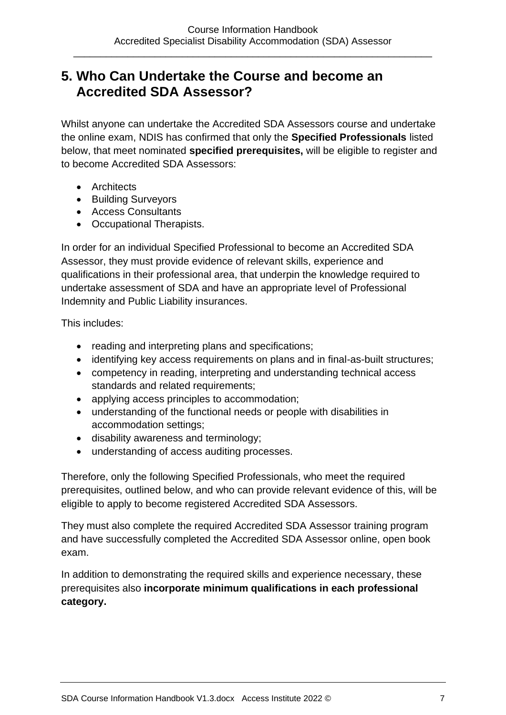## <span id="page-6-0"></span>**5. Who Can Undertake the Course and become an Accredited SDA Assessor?**

Whilst anyone can undertake the Accredited SDA Assessors course and undertake the online exam, NDIS has confirmed that only the **Specified Professionals** listed below, that meet nominated **specified prerequisites,** will be eligible to register and to become Accredited SDA Assessors:

- Architects
- Building Surveyors
- Access Consultants
- Occupational Therapists.

In order for an individual Specified Professional to become an Accredited SDA Assessor, they must provide evidence of relevant skills, experience and qualifications in their professional area, that underpin the knowledge required to undertake assessment of SDA and have an appropriate level of Professional Indemnity and Public Liability insurances.

This includes:

- reading and interpreting plans and specifications;
- identifying key access requirements on plans and in final-as-built structures;
- competency in reading, interpreting and understanding technical access standards and related requirements;
- applying access principles to accommodation;
- understanding of the functional needs or people with disabilities in accommodation settings;
- disability awareness and terminology;
- understanding of access auditing processes.

Therefore, only the following Specified Professionals, who meet the required prerequisites, outlined below, and who can provide relevant evidence of this, will be eligible to apply to become registered Accredited SDA Assessors.

They must also complete the required Accredited SDA Assessor training program and have successfully completed the Accredited SDA Assessor online, open book exam.

In addition to demonstrating the required skills and experience necessary, these prerequisites also **incorporate minimum qualifications in each professional category.**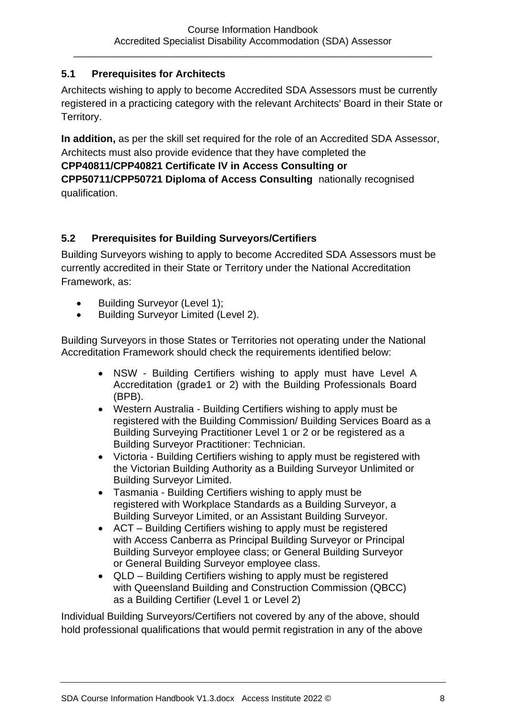#### <span id="page-7-0"></span>**5.1 Prerequisites for Architects**

Architects wishing to apply to become Accredited SDA Assessors must be currently registered in a practicing category with the relevant Architects' Board in their State or Territory.

**In addition,** as per the skill set required for the role of an Accredited SDA Assessor, Architects must also provide evidence that they have completed the **CPP40811/CPP40821 Certificate IV in Access Consulting or CPP50711/CPP50721 Diploma of Access Consulting** nationally recognised qualification.

#### <span id="page-7-1"></span>**5.2 Prerequisites for Building Surveyors/Certifiers**

Building Surveyors wishing to apply to become Accredited SDA Assessors must be currently accredited in their State or Territory under the National Accreditation Framework, as:

- Building Surveyor (Level 1);
- Building Surveyor Limited (Level 2).

Building Surveyors in those States or Territories not operating under the National Accreditation Framework should check the requirements identified below:

- NSW Building Certifiers wishing to apply must have Level A Accreditation (grade1 or 2) with the Building Professionals Board (BPB).
- Western Australia Building Certifiers wishing to apply must be registered with the Building Commission/ Building Services Board as a Building Surveying Practitioner Level 1 or 2 or be registered as a Building Surveyor Practitioner: Technician.
- Victoria Building Certifiers wishing to apply must be registered with the Victorian Building Authority as a Building Surveyor Unlimited or Building Surveyor Limited.
- Tasmania Building Certifiers wishing to apply must be registered with Workplace Standards as a Building Surveyor, a Building Surveyor Limited, or an Assistant Building Surveyor.
- ACT Building Certifiers wishing to apply must be registered with Access Canberra as Principal Building Surveyor or Principal Building Surveyor employee class; or General Building Surveyor or General Building Surveyor employee class.
- QLD Building Certifiers wishing to apply must be registered with Queensland Building and Construction Commission (QBCC) as a Building Certifier (Level 1 or Level 2)

Individual Building Surveyors/Certifiers not covered by any of the above, should hold professional qualifications that would permit registration in any of the above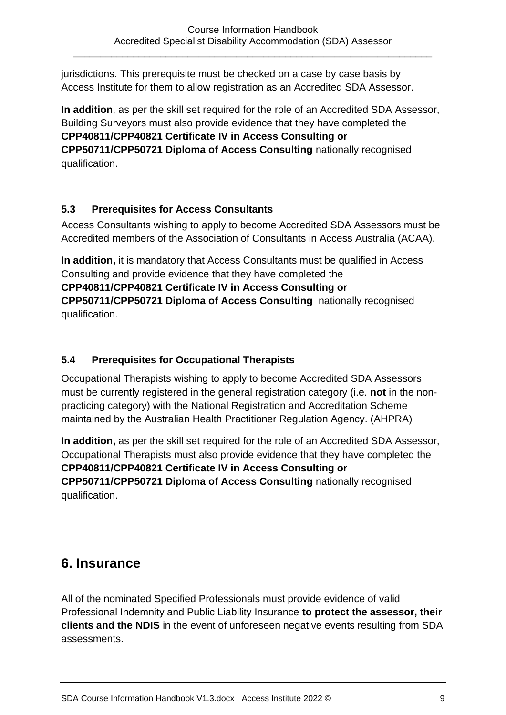jurisdictions. This prerequisite must be checked on a case by case basis by Access Institute for them to allow registration as an Accredited SDA Assessor.

**In addition**, as per the skill set required for the role of an Accredited SDA Assessor, Building Surveyors must also provide evidence that they have completed the **CPP40811/CPP40821 Certificate IV in Access Consulting or CPP50711/CPP50721 Diploma of Access Consulting** nationally recognised qualification.

#### <span id="page-8-0"></span>**5.3 Prerequisites for Access Consultants**

Access Consultants wishing to apply to become Accredited SDA Assessors must be Accredited members of the Association of Consultants in Access Australia (ACAA).

**In addition,** it is mandatory that Access Consultants must be qualified in Access Consulting and provide evidence that they have completed the **CPP40811/CPP40821 Certificate IV in Access Consulting or CPP50711/CPP50721 Diploma of Access Consulting** nationally recognised qualification.

#### <span id="page-8-1"></span>**5.4 Prerequisites for Occupational Therapists**

Occupational Therapists wishing to apply to become Accredited SDA Assessors must be currently registered in the general registration category (i.e. **not** in the nonpracticing category) with the National Registration and Accreditation Scheme maintained by the Australian Health Practitioner Regulation Agency. (AHPRA)

**In addition,** as per the skill set required for the role of an Accredited SDA Assessor, Occupational Therapists must also provide evidence that they have completed the **CPP40811/CPP40821 Certificate IV in Access Consulting or CPP50711/CPP50721 Diploma of Access Consulting** nationally recognised qualification.

### <span id="page-8-2"></span>**6. Insurance**

All of the nominated Specified Professionals must provide evidence of valid Professional Indemnity and Public Liability Insurance **to protect the assessor, their clients and the NDIS** in the event of unforeseen negative events resulting from SDA assessments.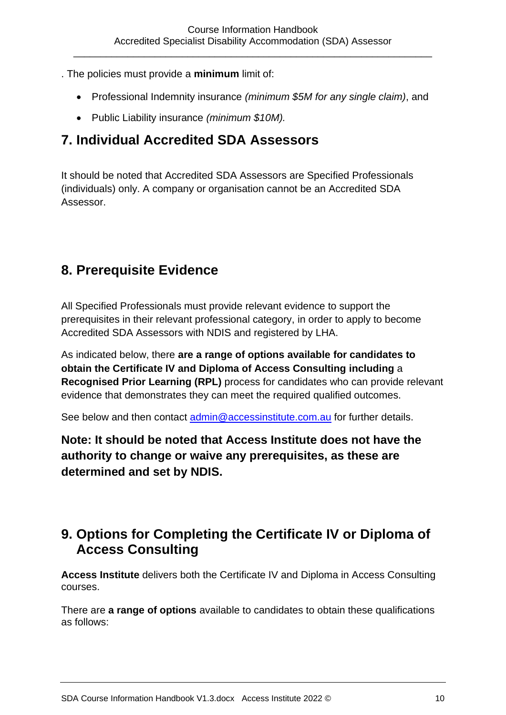- . The policies must provide a **minimum** limit of:
	- Professional Indemnity insurance *(minimum \$5M for any single claim)*, and
	- Public Liability insurance *(minimum \$10M).*

### <span id="page-9-0"></span>**7. Individual Accredited SDA Assessors**

It should be noted that Accredited SDA Assessors are Specified Professionals (individuals) only. A company or organisation cannot be an Accredited SDA Assessor.

## <span id="page-9-1"></span>**8. Prerequisite Evidence**

All Specified Professionals must provide relevant evidence to support the prerequisites in their relevant professional category, in order to apply to become Accredited SDA Assessors with NDIS and registered by LHA.

As indicated below, there **are a range of options available for candidates to obtain the Certificate IV and Diploma of Access Consulting including** a **Recognised Prior Learning (RPL)** process for candidates who can provide relevant evidence that demonstrates they can meet the required qualified outcomes.

See below and then contact [admin@accessinstitute.com.au](mailto:admin@accessinstitute.com.au) for further details.

**Note: It should be noted that Access Institute does not have the authority to change or waive any prerequisites, as these are determined and set by NDIS.** 

## <span id="page-9-2"></span>**9. Options for Completing the Certificate IV or Diploma of Access Consulting**

**Access Institute** delivers both the Certificate IV and Diploma in Access Consulting courses.

There are **a range of options** available to candidates to obtain these qualifications as follows: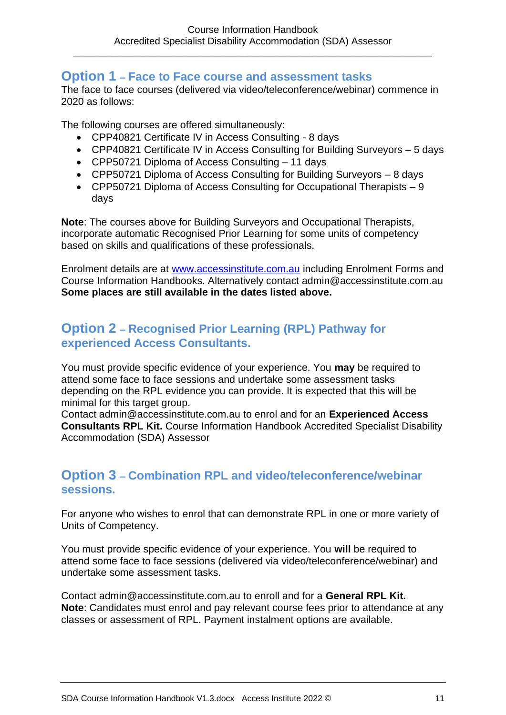#### **Option 1 – Face to Face course and assessment tasks**

The face to face courses (delivered via video/teleconference/webinar) commence in 2020 as follows:

The following courses are offered simultaneously:

- CPP40821 Certificate IV in Access Consulting 8 days
- CPP40821 Certificate IV in Access Consulting for Building Surveyors 5 days
- CPP50721 Diploma of Access Consulting 11 days
- CPP50721 Diploma of Access Consulting for Building Surveyors 8 days
- CPP50721 Diploma of Access Consulting for Occupational Therapists 9 days

**Note**: The courses above for Building Surveyors and Occupational Therapists, incorporate automatic Recognised Prior Learning for some units of competency based on skills and qualifications of these professionals.

Enrolment details are at [www.accessinstitute.com.au](http://www.accessinstitute.com.au/) including Enrolment Forms and Course Information Handbooks. Alternatively contact admin@accessinstitute.com.au **Some places are still available in the dates listed above.** 

#### **Option 2 – Recognised Prior Learning (RPL) Pathway for experienced Access Consultants.**

You must provide specific evidence of your experience. You **may** be required to attend some face to face sessions and undertake some assessment tasks depending on the RPL evidence you can provide. It is expected that this will be minimal for this target group.

Contact admin@accessinstitute.com.au to enrol and for an **Experienced Access Consultants RPL Kit.** Course Information Handbook Accredited Specialist Disability Accommodation (SDA) Assessor

#### **Option 3 – Combination RPL and video/teleconference/webinar sessions.**

For anyone who wishes to enrol that can demonstrate RPL in one or more variety of Units of Competency.

You must provide specific evidence of your experience. You **will** be required to attend some face to face sessions (delivered via video/teleconference/webinar) and undertake some assessment tasks.

Contact admin@accessinstitute.com.au to enroll and for a **General RPL Kit. Note**: Candidates must enrol and pay relevant course fees prior to attendance at any classes or assessment of RPL. Payment instalment options are available.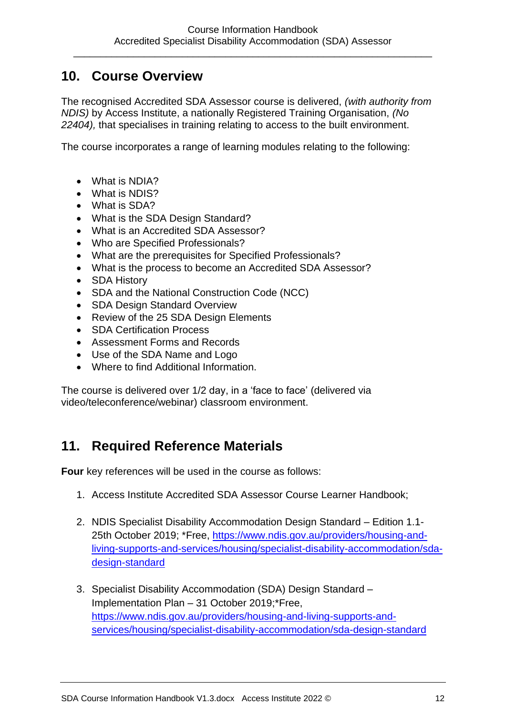## <span id="page-11-0"></span>**10. Course Overview**

The recognised Accredited SDA Assessor course is delivered, *(with authority from NDIS)* by Access Institute, a nationally Registered Training Organisation, *(No 22404),* that specialises in training relating to access to the built environment.

The course incorporates a range of learning modules relating to the following:

- What is NDIA?
- What is NDIS?
- What is SDA?
- What is the SDA Design Standard?
- What is an Accredited SDA Assessor?
- Who are Specified Professionals?
- What are the prerequisites for Specified Professionals?
- What is the process to become an Accredited SDA Assessor?
- SDA History
- SDA and the National Construction Code (NCC)
- SDA Design Standard Overview
- Review of the 25 SDA Design Elements
- SDA Certification Process
- Assessment Forms and Records
- Use of the SDA Name and Logo
- Where to find Additional Information.

The course is delivered over 1/2 day, in a 'face to face' (delivered via video/teleconference/webinar) classroom environment.

## <span id="page-11-1"></span>**11. Required Reference Materials**

**Four** key references will be used in the course as follows:

- 1. Access Institute Accredited SDA Assessor Course Learner Handbook;
- 2. NDIS Specialist Disability Accommodation Design Standard Edition 1.1- 25th October 2019; \*Free, [https://www.ndis.gov.au/providers/housing-and](https://www.ndis.gov.au/providers/housing-and-living-supports-and-services/housing/specialist-disability-accommodation/sda-design-standard)[living-supports-and-services/housing/specialist-disability-accommodation/sda](https://www.ndis.gov.au/providers/housing-and-living-supports-and-services/housing/specialist-disability-accommodation/sda-design-standard)[design-standard](https://www.ndis.gov.au/providers/housing-and-living-supports-and-services/housing/specialist-disability-accommodation/sda-design-standard)
- 3. Specialist Disability Accommodation (SDA) Design Standard Implementation Plan – 31 October 2019;\*Free, [https://www.ndis.gov.au/providers/housing-and-living-supports-and](https://www.ndis.gov.au/providers/housing-and-living-supports-and-services/housing/specialist-disability-accommodation/sda-design-standard)[services/housing/specialist-disability-accommodation/sda-design-standard](https://www.ndis.gov.au/providers/housing-and-living-supports-and-services/housing/specialist-disability-accommodation/sda-design-standard)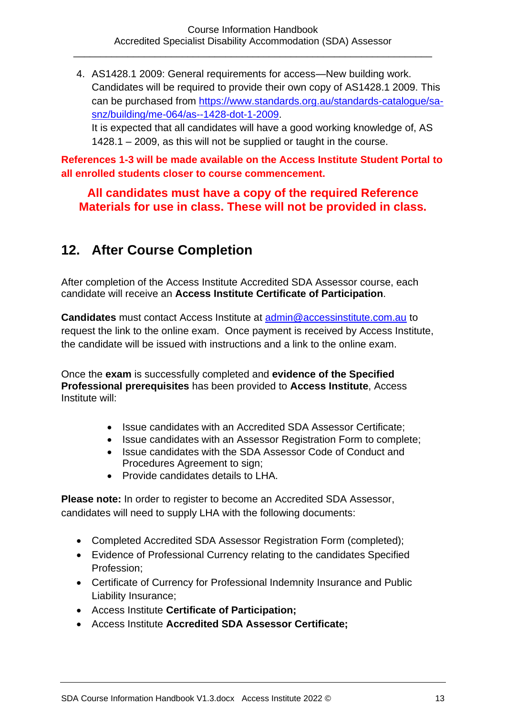4. AS1428.1 2009: General requirements for access—New building work. Candidates will be required to provide their own copy of AS1428.1 2009. This can be purchased from [https://www.standards.org.au/standards-catalogue/sa](https://www.standards.org.au/standards-catalogue/sa-snz/building/me-064/as--1428-dot-1-2009)[snz/building/me-064/as--1428-dot-1-2009.](https://www.standards.org.au/standards-catalogue/sa-snz/building/me-064/as--1428-dot-1-2009)

It is expected that all candidates will have a good working knowledge of, AS 1428.1 – 2009, as this will not be supplied or taught in the course.

**References 1-3 will be made available on the Access Institute Student Portal to all enrolled students closer to course commencement.**

#### **All candidates must have a copy of the required Reference Materials for use in class. These will not be provided in class.**

## <span id="page-12-0"></span>**12. After Course Completion**

After completion of the Access Institute Accredited SDA Assessor course, each candidate will receive an **Access Institute Certificate of Participation**.

**Candidates** must contact Access Institute at [admin@accessinstitute.com.au](mailto:admin@accessinstitute.com.au) to request the link to the online exam. Once payment is received by Access Institute, the candidate will be issued with instructions and a link to the online exam.

Once the **exam** is successfully completed and **evidence of the Specified Professional prerequisites** has been provided to **Access Institute**, Access Institute will:

- Issue candidates with an Accredited SDA Assessor Certificate;
- Issue candidates with an Assessor Registration Form to complete;
- Issue candidates with the SDA Assessor Code of Conduct and Procedures Agreement to sign;
- Provide candidates details to LHA.

**Please note:** In order to register to become an Accredited SDA Assessor, candidates will need to supply LHA with the following documents:

- Completed Accredited SDA Assessor Registration Form (completed);
- Evidence of Professional Currency relating to the candidates Specified Profession;
- Certificate of Currency for Professional Indemnity Insurance and Public Liability Insurance;
- Access Institute **Certificate of Participation;**
- Access Institute **Accredited SDA Assessor Certificate;**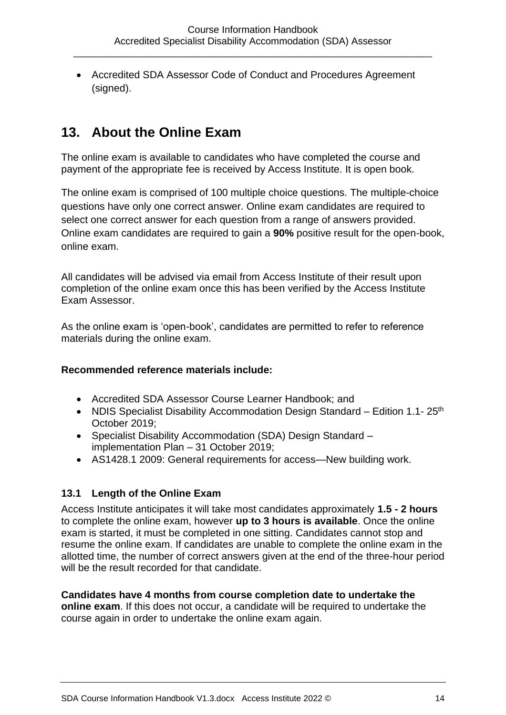• Accredited SDA Assessor Code of Conduct and Procedures Agreement (signed).

## <span id="page-13-0"></span>**13. About the Online Exam**

The online exam is available to candidates who have completed the course and payment of the appropriate fee is received by Access Institute. It is open book.

The online exam is comprised of 100 multiple choice questions. The multiple-choice questions have only one correct answer. Online exam candidates are required to select one correct answer for each question from a range of answers provided. Online exam candidates are required to gain a **90%** positive result for the open-book, online exam.

All candidates will be advised via email from Access Institute of their result upon completion of the online exam once this has been verified by the Access Institute Exam Assessor.

As the online exam is 'open-book', candidates are permitted to refer to reference materials during the online exam.

#### **Recommended reference materials include:**

- Accredited SDA Assessor Course Learner Handbook; and
- NDIS Specialist Disability Accommodation Design Standard Edition 1.1- $25<sup>th</sup>$ October 2019;
- Specialist Disability Accommodation (SDA) Design Standard implementation Plan – 31 October 2019;
- AS1428.1 2009: General requirements for access—New building work.

#### <span id="page-13-1"></span>**13.1 Length of the Online Exam**

Access Institute anticipates it will take most candidates approximately **1.5 - 2 hours**  to complete the online exam, however **up to 3 hours is available**. Once the online exam is started, it must be completed in one sitting. Candidates cannot stop and resume the online exam. If candidates are unable to complete the online exam in the allotted time, the number of correct answers given at the end of the three-hour period will be the result recorded for that candidate.

#### **Candidates have 4 months from course completion date to undertake the**

**online exam**. If this does not occur, a candidate will be required to undertake the course again in order to undertake the online exam again.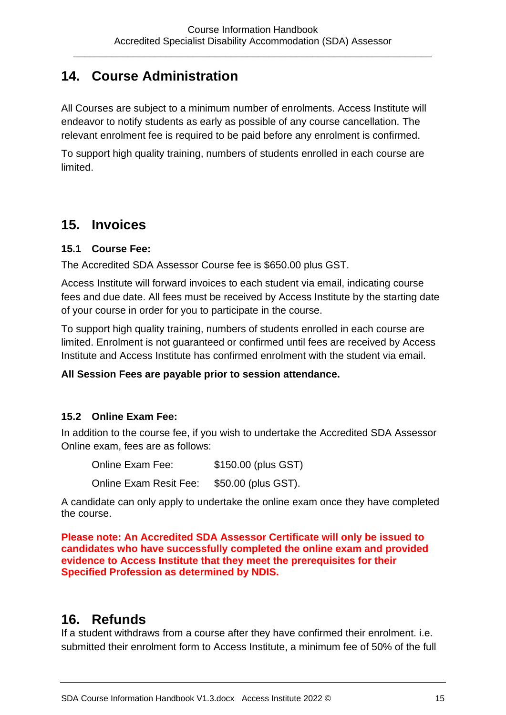## <span id="page-14-0"></span>**14. Course Administration**

All Courses are subject to a minimum number of enrolments. Access Institute will endeavor to notify students as early as possible of any course cancellation. The relevant enrolment fee is required to be paid before any enrolment is confirmed.

To support high quality training, numbers of students enrolled in each course are limited.

## <span id="page-14-1"></span>**15. Invoices**

#### <span id="page-14-2"></span>**15.1 Course Fee:**

The Accredited SDA Assessor Course fee is \$650.00 plus GST.

Access Institute will forward invoices to each student via email, indicating course fees and due date. All fees must be received by Access Institute by the starting date of your course in order for you to participate in the course.

To support high quality training, numbers of students enrolled in each course are limited. Enrolment is not guaranteed or confirmed until fees are received by Access Institute and Access Institute has confirmed enrolment with the student via email.

#### **All Session Fees are payable prior to session attendance.**

#### <span id="page-14-3"></span>**15.2 Online Exam Fee:**

In addition to the course fee, if you wish to undertake the Accredited SDA Assessor Online exam, fees are as follows:

Online Exam Fee: \$150.00 (plus GST) Online Exam Resit Fee: \$50.00 (plus GST).

A candidate can only apply to undertake the online exam once they have completed the course.

**Please note: An Accredited SDA Assessor Certificate will only be issued to candidates who have successfully completed the online exam and provided evidence to Access Institute that they meet the prerequisites for their Specified Profession as determined by NDIS.**

### <span id="page-14-4"></span>**16. Refunds**

If a student withdraws from a course after they have confirmed their enrolment. i.e. submitted their enrolment form to Access Institute, a minimum fee of 50% of the full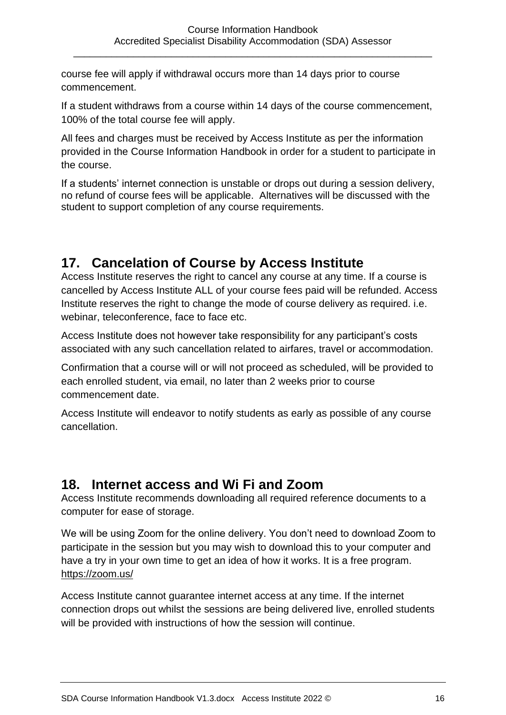course fee will apply if withdrawal occurs more than 14 days prior to course commencement.

If a student withdraws from a course within 14 days of the course commencement, 100% of the total course fee will apply.

All fees and charges must be received by Access Institute as per the information provided in the Course Information Handbook in order for a student to participate in the course.

If a students' internet connection is unstable or drops out during a session delivery, no refund of course fees will be applicable. Alternatives will be discussed with the student to support completion of any course requirements.

## <span id="page-15-0"></span>**17. Cancelation of Course by Access Institute**

Access Institute reserves the right to cancel any course at any time. If a course is cancelled by Access Institute ALL of your course fees paid will be refunded. Access Institute reserves the right to change the mode of course delivery as required. i.e. webinar, teleconference, face to face etc.

Access Institute does not however take responsibility for any participant's costs associated with any such cancellation related to airfares, travel or accommodation.

Confirmation that a course will or will not proceed as scheduled, will be provided to each enrolled student, via email, no later than 2 weeks prior to course commencement date.

Access Institute will endeavor to notify students as early as possible of any course cancellation.

### <span id="page-15-1"></span>**18. Internet access and Wi Fi and Zoom**

Access Institute recommends downloading all required reference documents to a computer for ease of storage.

We will be using Zoom for the online delivery. You don't need to download Zoom to participate in the session but you may wish to download this to your computer and have a try in your own time to get an idea of how it works. It is a free program. <https://zoom.us/>

Access Institute cannot guarantee internet access at any time. If the internet connection drops out whilst the sessions are being delivered live, enrolled students will be provided with instructions of how the session will continue.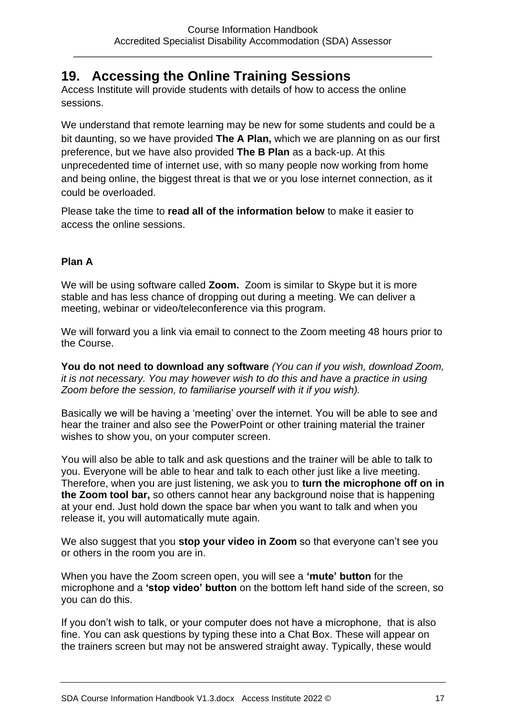## <span id="page-16-0"></span>**19. Accessing the Online Training Sessions**

Access Institute will provide students with details of how to access the online sessions.

We understand that remote learning may be new for some students and could be a bit daunting, so we have provided **The A Plan,** which we are planning on as our first preference, but we have also provided **The B Plan** as a back-up. At this unprecedented time of internet use, with so many people now working from home and being online, the biggest threat is that we or you lose internet connection, as it could be overloaded.

Please take the time to **read all of the information below** to make it easier to access the online sessions.

#### **Plan A**

We will be using software called **Zoom.** Zoom is similar to Skype but it is more stable and has less chance of dropping out during a meeting. We can deliver a meeting, webinar or video/teleconference via this program.

We will forward you a link via email to connect to the Zoom meeting 48 hours prior to the Course.

**You do not need to download any software** *(You can if you wish, download Zoom, it is not necessary. You may however wish to do this and have a practice in using Zoom before the session, to familiarise yourself with it if you wish).*

Basically we will be having a 'meeting' over the internet. You will be able to see and hear the trainer and also see the PowerPoint or other training material the trainer wishes to show you, on your computer screen.

You will also be able to talk and ask questions and the trainer will be able to talk to you. Everyone will be able to hear and talk to each other just like a live meeting. Therefore, when you are just listening, we ask you to **turn the microphone off on in the Zoom tool bar,** so others cannot hear any background noise that is happening at your end. Just hold down the space bar when you want to talk and when you release it, you will automatically mute again.

We also suggest that you **stop your video in Zoom** so that everyone can't see you or others in the room you are in.

When you have the Zoom screen open, you will see a **'mute' button** for the microphone and a **'stop video' button** on the bottom left hand side of the screen, so you can do this.

If you don't wish to talk, or your computer does not have a microphone, that is also fine. You can ask questions by typing these into a Chat Box. These will appear on the trainers screen but may not be answered straight away. Typically, these would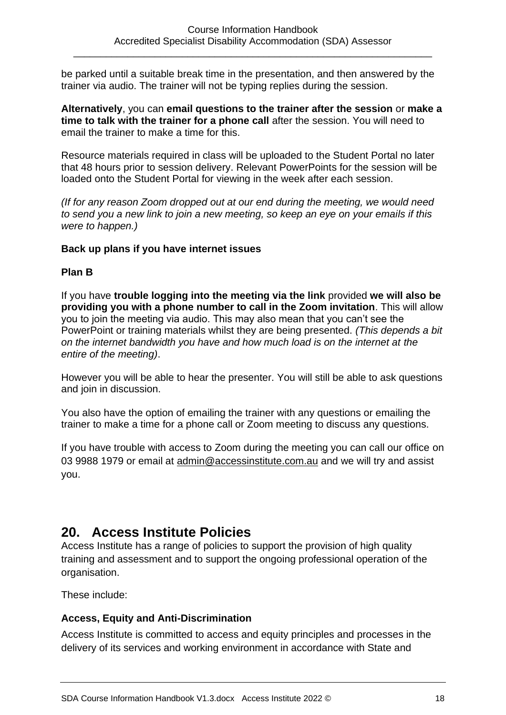be parked until a suitable break time in the presentation, and then answered by the trainer via audio. The trainer will not be typing replies during the session.

**Alternatively**, you can **email questions to the trainer after the session** or **make a time to talk with the trainer for a phone call** after the session. You will need to email the trainer to make a time for this.

Resource materials required in class will be uploaded to the Student Portal no later that 48 hours prior to session delivery. Relevant PowerPoints for the session will be loaded onto the Student Portal for viewing in the week after each session.

*(If for any reason Zoom dropped out at our end during the meeting, we would need to send you a new link to join a new meeting, so keep an eye on your emails if this were to happen.)*

#### **Back up plans if you have internet issues**

#### **Plan B**

If you have **trouble logging into the meeting via the link** provided **we will also be providing you with a phone number to call in the Zoom invitation**. This will allow you to join the meeting via audio. This may also mean that you can't see the PowerPoint or training materials whilst they are being presented. *(This depends a bit on the internet bandwidth you have and how much load is on the internet at the entire of the meeting)*.

However you will be able to hear the presenter. You will still be able to ask questions and join in discussion.

You also have the option of emailing the trainer with any questions or emailing the trainer to make a time for a phone call or Zoom meeting to discuss any questions.

If you have trouble with access to Zoom during the meeting you can call our office on 03 9988 1979 or email at [admin@accessinstitute.com.au](mailto:admin@accessinstitute.com.au) and we will try and assist you.

### <span id="page-17-0"></span>**20. Access Institute Policies**

Access Institute has a range of policies to support the provision of high quality training and assessment and to support the ongoing professional operation of the organisation.

These include:

#### <span id="page-17-1"></span>**Access, Equity and Anti-Discrimination**

Access Institute is committed to access and equity principles and processes in the delivery of its services and working environment in accordance with State and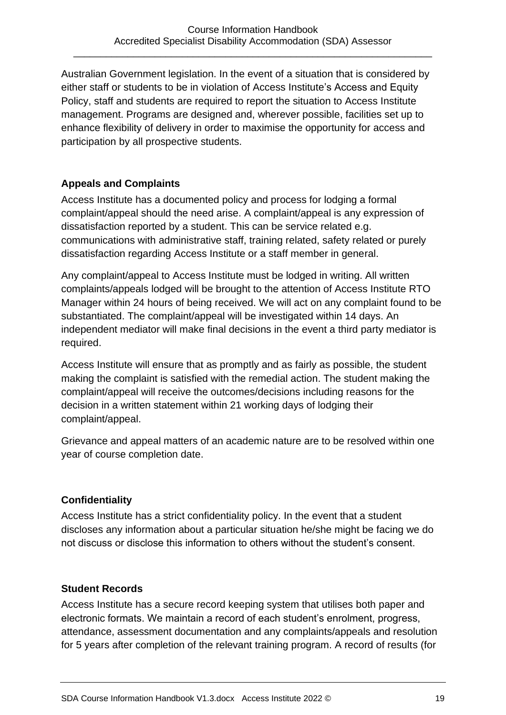Australian Government legislation. In the event of a situation that is considered by either staff or students to be in violation of Access Institute's Access and Equity Policy, staff and students are required to report the situation to Access Institute management. Programs are designed and, wherever possible, facilities set up to enhance flexibility of delivery in order to maximise the opportunity for access and participation by all prospective students.

#### <span id="page-18-0"></span>**Appeals and Complaints**

Access Institute has a documented policy and process for lodging a formal complaint/appeal should the need arise. A complaint/appeal is any expression of dissatisfaction reported by a student. This can be service related e.g. communications with administrative staff, training related, safety related or purely dissatisfaction regarding Access Institute or a staff member in general.

Any complaint/appeal to Access Institute must be lodged in writing. All written complaints/appeals lodged will be brought to the attention of Access Institute RTO Manager within 24 hours of being received. We will act on any complaint found to be substantiated. The complaint/appeal will be investigated within 14 days. An independent mediator will make final decisions in the event a third party mediator is required.

Access Institute will ensure that as promptly and as fairly as possible, the student making the complaint is satisfied with the remedial action. The student making the complaint/appeal will receive the outcomes/decisions including reasons for the decision in a written statement within 21 working days of lodging their complaint/appeal.

Grievance and appeal matters of an academic nature are to be resolved within one year of course completion date.

#### <span id="page-18-1"></span>**Confidentiality**

Access Institute has a strict confidentiality policy. In the event that a student discloses any information about a particular situation he/she might be facing we do not discuss or disclose this information to others without the student's consent.

#### <span id="page-18-2"></span>**Student Records**

Access Institute has a secure record keeping system that utilises both paper and electronic formats. We maintain a record of each student's enrolment, progress, attendance, assessment documentation and any complaints/appeals and resolution for 5 years after completion of the relevant training program. A record of results (for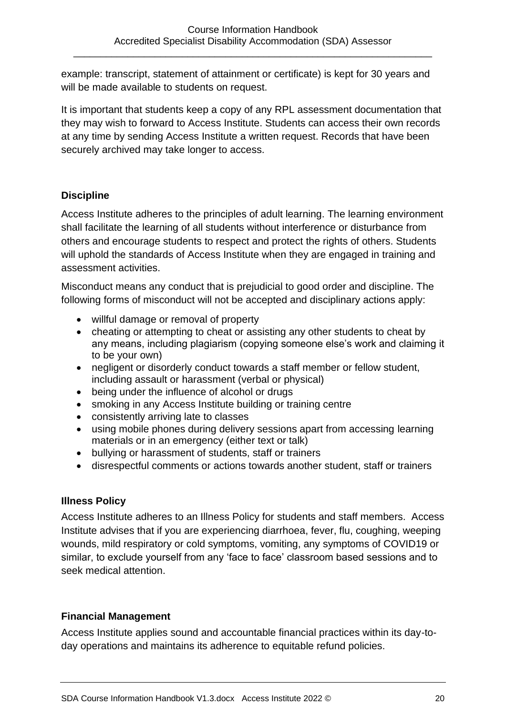example: transcript, statement of attainment or certificate) is kept for 30 years and will be made available to students on request.

It is important that students keep a copy of any RPL assessment documentation that they may wish to forward to Access Institute. Students can access their own records at any time by sending Access Institute a written request. Records that have been securely archived may take longer to access.

#### <span id="page-19-0"></span>**Discipline**

Access Institute adheres to the principles of adult learning. The learning environment shall facilitate the learning of all students without interference or disturbance from others and encourage students to respect and protect the rights of others. Students will uphold the standards of Access Institute when they are engaged in training and assessment activities.

Misconduct means any conduct that is prejudicial to good order and discipline. The following forms of misconduct will not be accepted and disciplinary actions apply:

- willful damage or removal of property
- cheating or attempting to cheat or assisting any other students to cheat by any means, including plagiarism (copying someone else's work and claiming it to be your own)
- negligent or disorderly conduct towards a staff member or fellow student, including assault or harassment (verbal or physical)
- being under the influence of alcohol or drugs
- smoking in any Access Institute building or training centre
- consistently arriving late to classes
- using mobile phones during delivery sessions apart from accessing learning materials or in an emergency (either text or talk)
- bullying or harassment of students, staff or trainers
- disrespectful comments or actions towards another student, staff or trainers

#### <span id="page-19-1"></span>**Illness Policy**

Access Institute adheres to an Illness Policy for students and staff members. Access Institute advises that if you are experiencing diarrhoea, fever, flu, coughing, weeping wounds, mild respiratory or cold symptoms, vomiting, any symptoms of COVID19 or similar, to exclude yourself from any 'face to face' classroom based sessions and to seek medical attention.

#### <span id="page-19-2"></span>**Financial Management**

Access Institute applies sound and accountable financial practices within its day-today operations and maintains its adherence to equitable refund policies.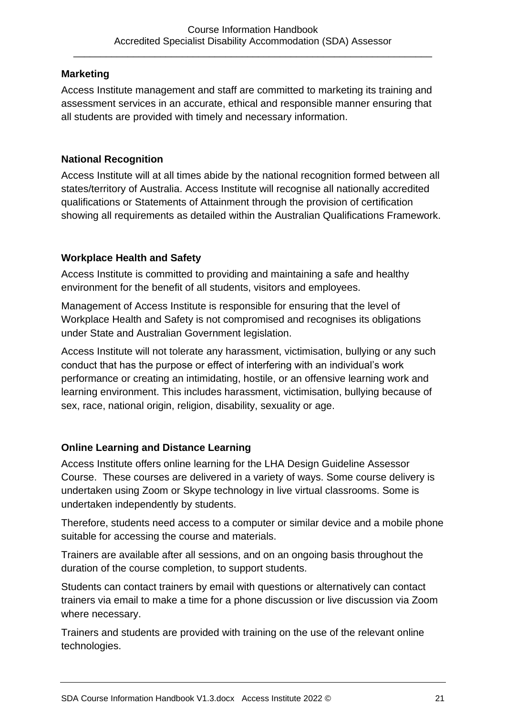#### <span id="page-20-0"></span>**Marketing**

Access Institute management and staff are committed to marketing its training and assessment services in an accurate, ethical and responsible manner ensuring that all students are provided with timely and necessary information.

#### <span id="page-20-1"></span>**National Recognition**

Access Institute will at all times abide by the national recognition formed between all states/territory of Australia. Access Institute will recognise all nationally accredited qualifications or Statements of Attainment through the provision of certification showing all requirements as detailed within the Australian Qualifications Framework.

#### <span id="page-20-2"></span>**Workplace Health and Safety**

Access Institute is committed to providing and maintaining a safe and healthy environment for the benefit of all students, visitors and employees.

Management of Access Institute is responsible for ensuring that the level of Workplace Health and Safety is not compromised and recognises its obligations under State and Australian Government legislation.

Access Institute will not tolerate any harassment, victimisation, bullying or any such conduct that has the purpose or effect of interfering with an individual's work performance or creating an intimidating, hostile, or an offensive learning work and learning environment. This includes harassment, victimisation, bullying because of sex, race, national origin, religion, disability, sexuality or age.

#### <span id="page-20-3"></span>**Online Learning and Distance Learning**

Access Institute offers online learning for the LHA Design Guideline Assessor Course. These courses are delivered in a variety of ways. Some course delivery is undertaken using Zoom or Skype technology in live virtual classrooms. Some is undertaken independently by students.

Therefore, students need access to a computer or similar device and a mobile phone suitable for accessing the course and materials.

Trainers are available after all sessions, and on an ongoing basis throughout the duration of the course completion, to support students.

Students can contact trainers by email with questions or alternatively can contact trainers via email to make a time for a phone discussion or live discussion via Zoom where necessary.

Trainers and students are provided with training on the use of the relevant online technologies.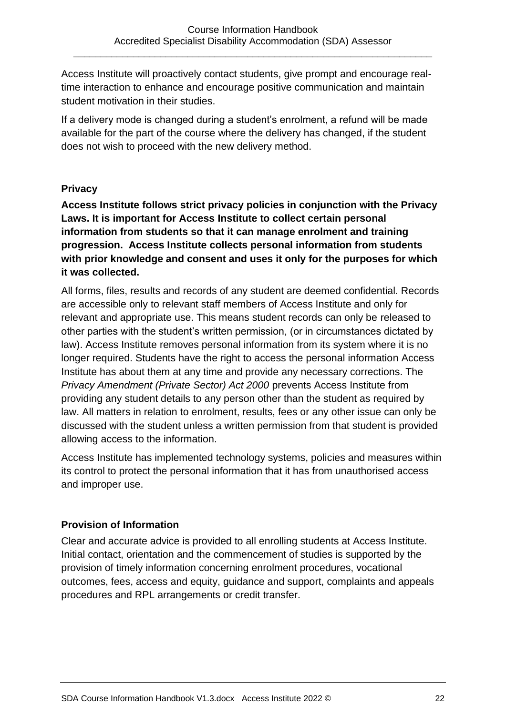Access Institute will proactively contact students, give prompt and encourage realtime interaction to enhance and encourage positive communication and maintain student motivation in their studies.

If a delivery mode is changed during a student's enrolment, a refund will be made available for the part of the course where the delivery has changed, if the student does not wish to proceed with the new delivery method.

#### <span id="page-21-0"></span>**Privacy**

**Access Institute follows strict privacy policies in conjunction with the Privacy Laws. It is important for Access Institute to collect certain personal information from students so that it can manage enrolment and training progression. Access Institute collects personal information from students with prior knowledge and consent and uses it only for the purposes for which it was collected.**

All forms, files, results and records of any student are deemed confidential. Records are accessible only to relevant staff members of Access Institute and only for relevant and appropriate use. This means student records can only be released to other parties with the student's written permission, (or in circumstances dictated by law). Access Institute removes personal information from its system where it is no longer required. Students have the right to access the personal information Access Institute has about them at any time and provide any necessary corrections. The *Privacy Amendment (Private Sector) Act 2000* prevents Access Institute from providing any student details to any person other than the student as required by law. All matters in relation to enrolment, results, fees or any other issue can only be discussed with the student unless a written permission from that student is provided allowing access to the information.

Access Institute has implemented technology systems, policies and measures within its control to protect the personal information that it has from unauthorised access and improper use.

#### <span id="page-21-1"></span>**Provision of Information**

Clear and accurate advice is provided to all enrolling students at Access Institute. Initial contact, orientation and the commencement of studies is supported by the provision of timely information concerning enrolment procedures, vocational outcomes, fees, access and equity, guidance and support, complaints and appeals procedures and RPL arrangements or credit transfer.